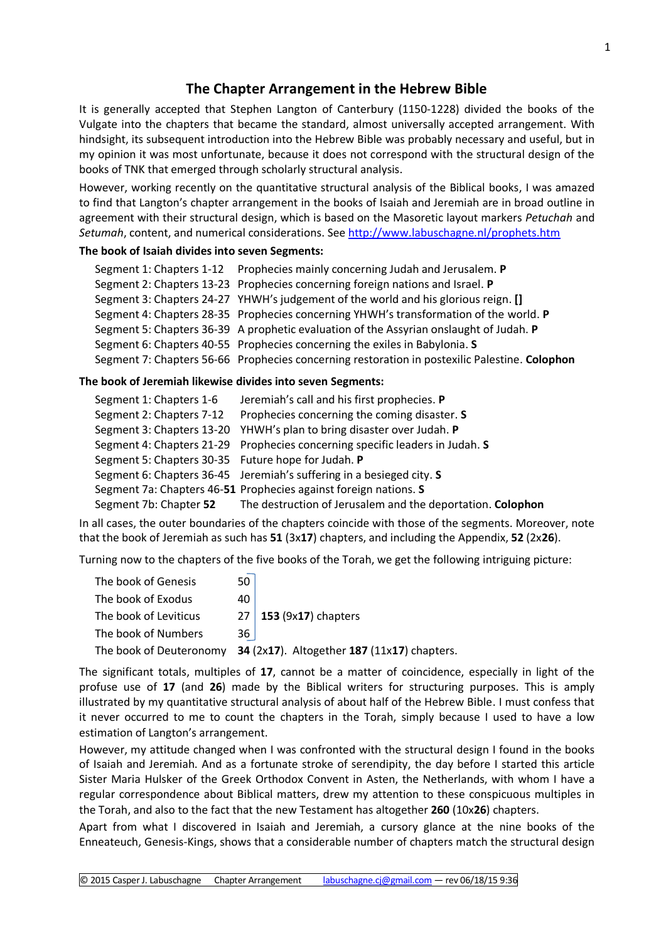## **The Chapter Arrangement in the Hebrew Bible**

It is generally accepted that Stephen Langton of Canterbury (1150-1228) divided the books of the Vulgate into the chapters that became the standard, almost universally accepted arrangement. With hindsight, its subsequent introduction into the Hebrew Bible was probably necessary and useful, but in my opinion it was most unfortunate, because it does not correspond with the structural design of the books of TNK that emerged through scholarly structural analysis.

However, working recently on the quantitative structural analysis of the Biblical books, I was amazed to find that Langton's chapter arrangement in the books of Isaiah and Jeremiah are in broad outline in agreement with their structural design, which is based on the Masoretic layout markers *Petuchah* and *Setumah*, content, and numerical considerations. See<http://www.labuschagne.nl/prophets.htm>

## **The book of Isaiah divides into seven Segments:**

| Segment 1: Chapters 1-12 Prophecies mainly concerning Judah and Jerusalem. P                  |  |  |
|-----------------------------------------------------------------------------------------------|--|--|
| Segment 2: Chapters 13-23 Prophecies concerning foreign nations and Israel. P                 |  |  |
| Segment 3: Chapters 24-27 YHWH's judgement of the world and his glorious reign. []            |  |  |
| Segment 4: Chapters 28-35 Prophecies concerning YHWH's transformation of the world. P         |  |  |
| Segment 5: Chapters 36-39 A prophetic evaluation of the Assyrian onslaught of Judah. P        |  |  |
| Segment 6: Chapters 40-55 Prophecies concerning the exiles in Babylonia. S                    |  |  |
| Segment 7: Chapters 56-66 Prophecies concerning restoration in postexilic Palestine. Colophon |  |  |

## **The book of Jeremiah likewise divides into seven Segments:**

| Segment 1: Chapters 1-6                            | Jeremiah's call and his first prophecies. P                                  |  |
|----------------------------------------------------|------------------------------------------------------------------------------|--|
| Segment 2: Chapters 7-12                           | Prophecies concerning the coming disaster. S                                 |  |
|                                                    | Segment 3: Chapters 13-20 YHWH's plan to bring disaster over Judah. P        |  |
|                                                    | Segment 4: Chapters 21-29 Prophecies concerning specific leaders in Judah. S |  |
| Segment 5: Chapters 30-35 Future hope for Judah. P |                                                                              |  |
|                                                    | Segment 6: Chapters 36-45 Jeremiah's suffering in a besieged city. S         |  |
|                                                    | Segment 7a: Chapters 46-51 Prophecies against foreign nations. S             |  |
| Segment 7b: Chapter 52                             | The destruction of Jerusalem and the deportation. Colophon                   |  |

In all cases, the outer boundaries of the chapters coincide with those of the segments. Moreover, note that the book of Jeremiah as such has **51** (3x**17**) chapters, and including the Appendix, **52** (2x**26**).

Turning now to the chapters of the five books of the Torah, we get the following intriguing picture:

| 50   |                                             |
|------|---------------------------------------------|
| 40   |                                             |
|      | $27$ 153 (9x17) chapters                    |
| 36 l |                                             |
|      | 34 (2x17). Altogether 187 (11x17) chapters. |
|      |                                             |

The significant totals, multiples of **17**, cannot be a matter of coincidence, especially in light of the profuse use of **17** (and **26**) made by the Biblical writers for structuring purposes. This is amply illustrated by my quantitative structural analysis of about half of the Hebrew Bible. I must confess that it never occurred to me to count the chapters in the Torah, simply because I used to have a low estimation of Langton's arrangement.

However, my attitude changed when I was confronted with the structural design I found in the books of Isaiah and Jeremiah. And as a fortunate stroke of serendipity, the day before I started this article Sister Maria Hulsker of the Greek Orthodox Convent in Asten, the Netherlands, with whom I have a regular correspondence about Biblical matters, drew my attention to these conspicuous multiples in the Torah, and also to the fact that the new Testament has altogether **260** (10x**26**) chapters.

Apart from what I discovered in Isaiah and Jeremiah, a cursory glance at the nine books of the Enneateuch, Genesis-Kings, shows that a considerable number of chapters match the structural design